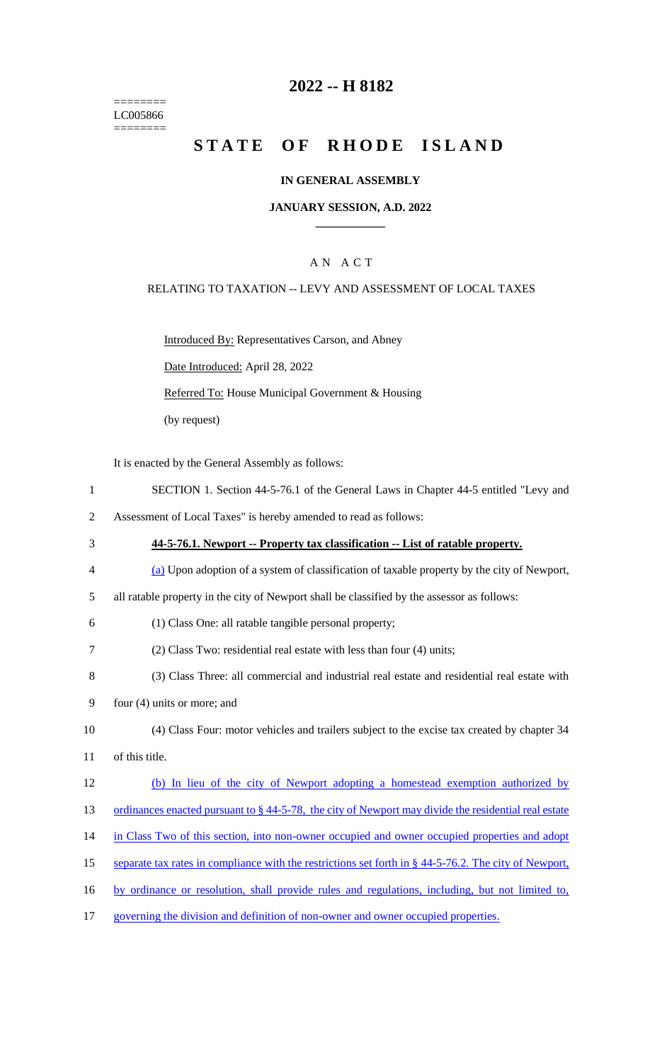======== LC005866 ========

# **2022 -- H 8182**

# **STATE OF RHODE ISLAND**

### **IN GENERAL ASSEMBLY**

### **JANUARY SESSION, A.D. 2022 \_\_\_\_\_\_\_\_\_\_\_\_**

### A N A C T

### RELATING TO TAXATION -- LEVY AND ASSESSMENT OF LOCAL TAXES

Introduced By: Representatives Carson, and Abney Date Introduced: April 28, 2022

Referred To: House Municipal Government & Housing

(by request)

It is enacted by the General Assembly as follows:

- 1 SECTION 1. Section 44-5-76.1 of the General Laws in Chapter 44-5 entitled "Levy and
- 2 Assessment of Local Taxes" is hereby amended to read as follows:
- 3 **44-5-76.1. Newport -- Property tax classification -- List of ratable property.** 4 (a) Upon adoption of a system of classification of taxable property by the city of Newport, 5 all ratable property in the city of Newport shall be classified by the assessor as follows:
- 6 (1) Class One: all ratable tangible personal property;
- 7 (2) Class Two: residential real estate with less than four (4) units;
- 8 (3) Class Three: all commercial and industrial real estate and residential real estate with
- 9 four (4) units or more; and
- 10 (4) Class Four: motor vehicles and trailers subject to the excise tax created by chapter 34
- 11 of this title.

#### 12 (b) In lieu of the city of Newport adopting a homestead exemption authorized by

- 13 ordinances enacted pursuant to § 44-5-78, the city of Newport may divide the residential real estate
- 14 in Class Two of this section, into non-owner occupied and owner occupied properties and adopt
- 15 separate tax rates in compliance with the restrictions set forth in § 44-5-76.2. The city of Newport,
- 16 by ordinance or resolution, shall provide rules and regulations, including, but not limited to,
- 17 governing the division and definition of non-owner and owner occupied properties.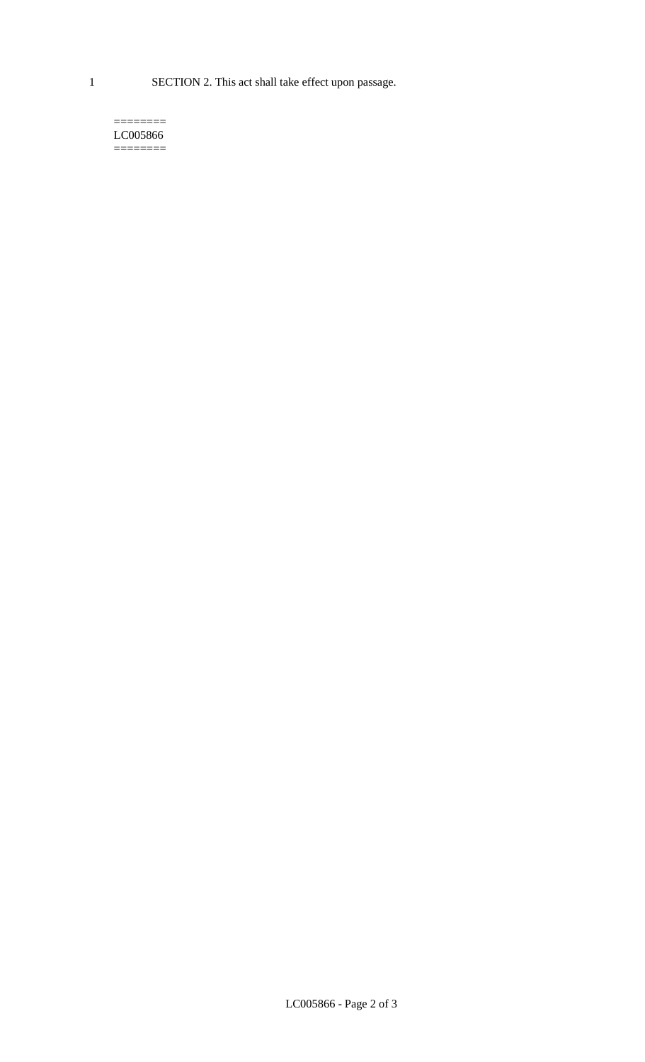1 SECTION 2. This act shall take effect upon passage.

#### $=$ LC005866 ========